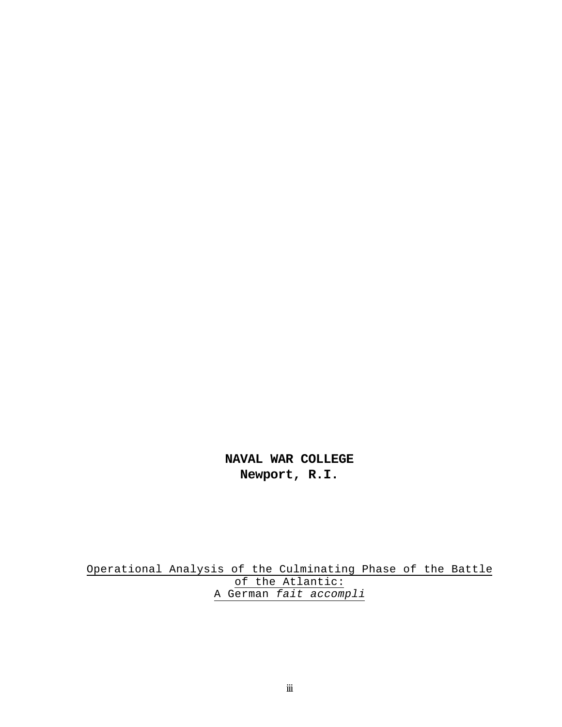**NAVAL WAR COLLEGE Newport, R.I.**

Operational Analysis of the Culminating Phase of the Battle of the Atlantic: A German *fait accompli*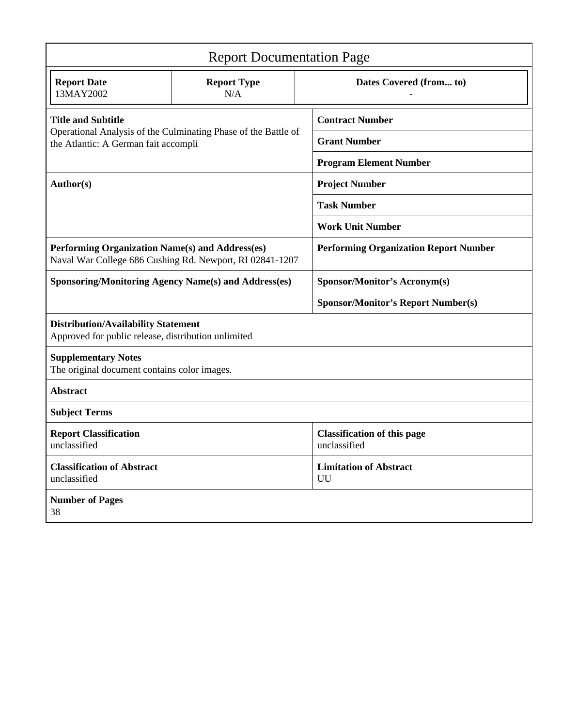| <b>Report Documentation Page</b>                                                                  |                                                                |                                                    |  |  |  |  |
|---------------------------------------------------------------------------------------------------|----------------------------------------------------------------|----------------------------------------------------|--|--|--|--|
| <b>Report Date</b><br>13MAY2002                                                                   | <b>Report Type</b><br>N/A                                      | Dates Covered (from to)                            |  |  |  |  |
| <b>Title and Subtitle</b>                                                                         |                                                                | <b>Contract Number</b>                             |  |  |  |  |
| the Atlantic: A German fait accompli                                                              | Operational Analysis of the Culminating Phase of the Battle of | <b>Grant Number</b>                                |  |  |  |  |
|                                                                                                   |                                                                | <b>Program Element Number</b>                      |  |  |  |  |
| Author(s)                                                                                         |                                                                | <b>Project Number</b>                              |  |  |  |  |
|                                                                                                   |                                                                | <b>Task Number</b>                                 |  |  |  |  |
|                                                                                                   |                                                                | <b>Work Unit Number</b>                            |  |  |  |  |
| Performing Organization Name(s) and Address(es)                                                   | Naval War College 686 Cushing Rd. Newport, RI 02841-1207       | <b>Performing Organization Report Number</b>       |  |  |  |  |
| <b>Sponsoring/Monitoring Agency Name(s) and Address(es)</b>                                       |                                                                | <b>Sponsor/Monitor's Acronym(s)</b>                |  |  |  |  |
|                                                                                                   |                                                                | <b>Sponsor/Monitor's Report Number(s)</b>          |  |  |  |  |
| <b>Distribution/Availability Statement</b><br>Approved for public release, distribution unlimited |                                                                |                                                    |  |  |  |  |
| <b>Supplementary Notes</b><br>The original document contains color images.                        |                                                                |                                                    |  |  |  |  |
| <b>Abstract</b>                                                                                   |                                                                |                                                    |  |  |  |  |
| <b>Subject Terms</b>                                                                              |                                                                |                                                    |  |  |  |  |
| <b>Report Classification</b><br>unclassified                                                      |                                                                | <b>Classification of this page</b><br>unclassified |  |  |  |  |
| <b>Classification of Abstract</b><br>unclassified                                                 |                                                                | <b>Limitation of Abstract</b><br>UU                |  |  |  |  |
| <b>Number of Pages</b><br>38                                                                      |                                                                |                                                    |  |  |  |  |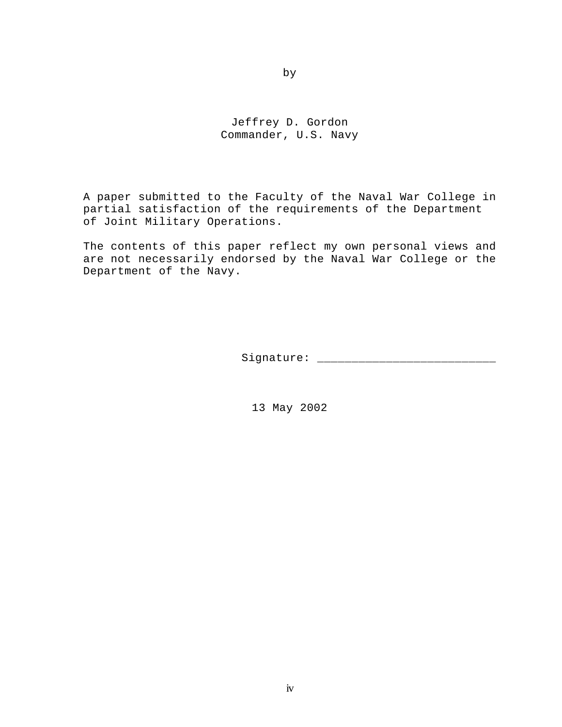Jeffrey D. Gordon Commander, U.S. Navy

A paper submitted to the Faculty of the Naval War College in partial satisfaction of the requirements of the Department of Joint Military Operations.

The contents of this paper reflect my own personal views and are not necessarily endorsed by the Naval War College or the Department of the Navy.

Signature: \_\_\_\_\_\_\_\_\_\_\_\_\_\_\_\_\_\_\_\_\_\_\_\_\_\_

13 May 2002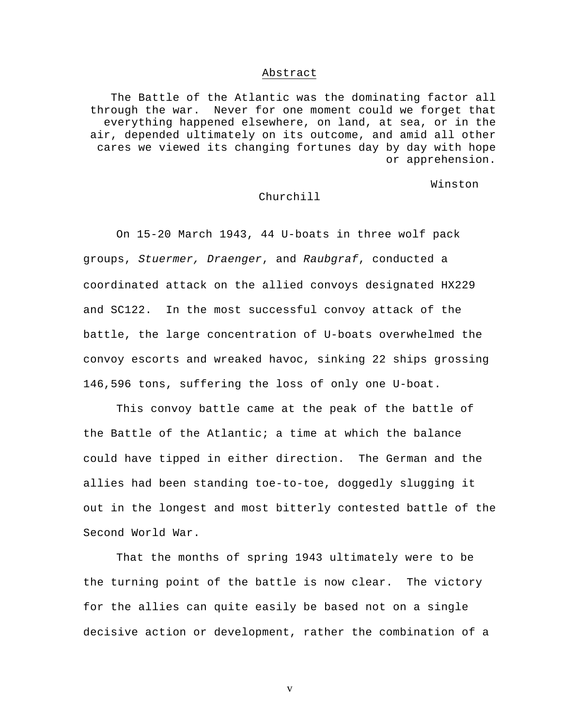#### Abstract

The Battle of the Atlantic was the dominating factor all through the war. Never for one moment could we forget that everything happened elsewhere, on land, at sea, or in the air, depended ultimately on its outcome, and amid all other cares we viewed its changing fortunes day by day with hope or apprehension.

Winston

## Churchill

On 15-20 March 1943, 44 U-boats in three wolf pack groups, *Stuermer, Draenger*, and *Raubgraf*, conducted a coordinated attack on the allied convoys designated HX229 and SC122. In the most successful convoy attack of the battle, the large concentration of U-boats overwhelmed the convoy escorts and wreaked havoc, sinking 22 ships grossing 146,596 tons, suffering the loss of only one U-boat.

This convoy battle came at the peak of the battle of the Battle of the Atlantic; a time at which the balance could have tipped in either direction. The German and the allies had been standing toe-to-toe, doggedly slugging it out in the longest and most bitterly contested battle of the Second World War.

That the months of spring 1943 ultimately were to be the turning point of the battle is now clear. The victory for the allies can quite easily be based not on a single decisive action or development, rather the combination of a

v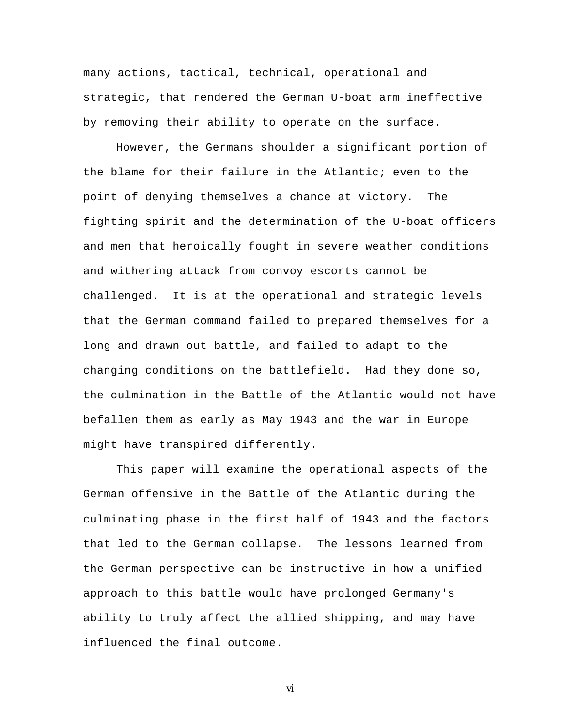many actions, tactical, technical, operational and strategic, that rendered the German U-boat arm ineffective by removing their ability to operate on the surface.

However, the Germans shoulder a significant portion of the blame for their failure in the Atlantic; even to the point of denying themselves a chance at victory. The fighting spirit and the determination of the U-boat officers and men that heroically fought in severe weather conditions and withering attack from convoy escorts cannot be challenged. It is at the operational and strategic levels that the German command failed to prepared themselves for a long and drawn out battle, and failed to adapt to the changing conditions on the battlefield. Had they done so, the culmination in the Battle of the Atlantic would not have befallen them as early as May 1943 and the war in Europe might have transpired differently.

This paper will examine the operational aspects of the German offensive in the Battle of the Atlantic during the culminating phase in the first half of 1943 and the factors that led to the German collapse. The lessons learned from the German perspective can be instructive in how a unified approach to this battle would have prolonged Germany's ability to truly affect the allied shipping, and may have influenced the final outcome.

vi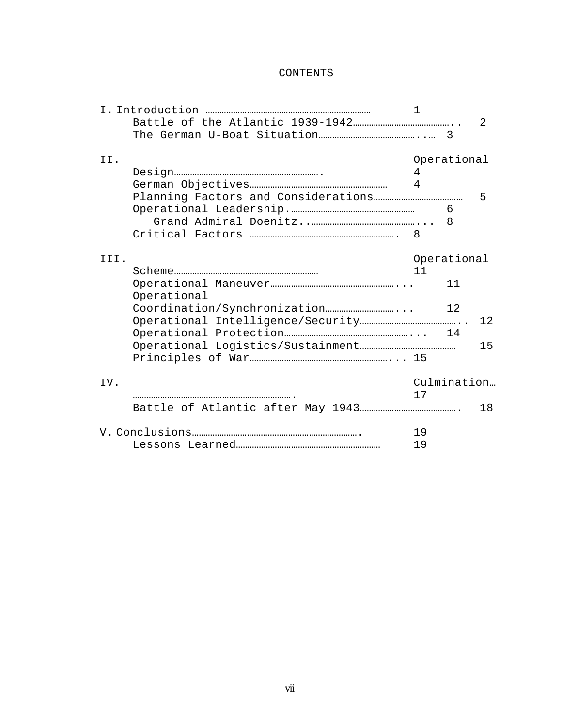## CONTENTS

|      |             | E  |             |    |
|------|-------------|----|-------------|----|
|      |             |    |             | 2  |
|      |             |    |             |    |
| II.  |             |    | Operational |    |
|      |             | 4  |             |    |
|      |             | 4  |             |    |
|      |             |    |             | 5  |
|      |             |    | 6           |    |
|      |             |    |             |    |
|      |             |    |             |    |
|      |             |    |             |    |
| III. |             |    | Operational |    |
|      |             | 11 |             |    |
|      |             |    | 11          |    |
|      | Operational |    |             |    |
|      |             |    | 12          |    |
|      |             |    |             | 12 |
|      |             |    |             |    |
|      |             |    |             | 15 |
|      |             |    |             |    |
| IV.  |             |    | Culmination |    |
|      |             | 17 |             |    |
|      |             |    |             | 18 |
|      |             | 19 |             |    |
|      | 19          |    |             |    |
|      |             |    |             |    |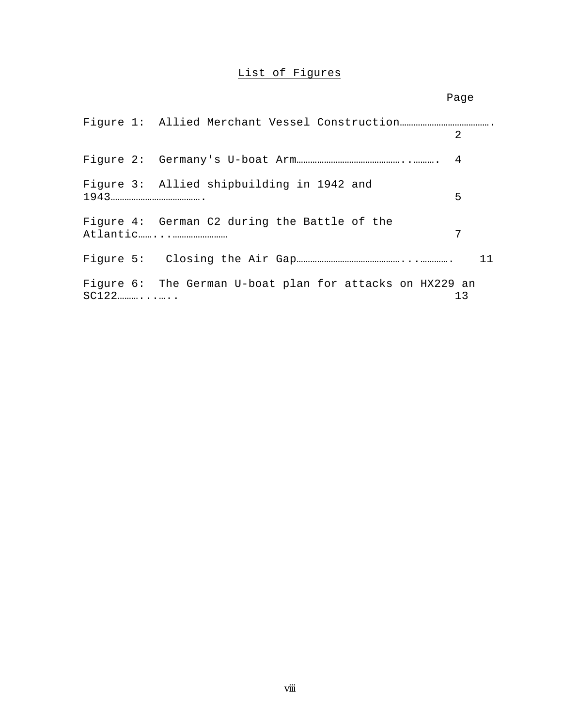# List of Figures

|  |                                                          | Page           |
|--|----------------------------------------------------------|----------------|
|  |                                                          |                |
|  |                                                          | 2              |
|  |                                                          | $\overline{4}$ |
|  | Figure 3: Allied shipbuilding in 1942 and                | 5              |
|  | Figure 4: German C2 during the Battle of the             | 7              |
|  |                                                          | 11             |
|  | Figure 6: The German U-boat plan for attacks on HX229 an | 13             |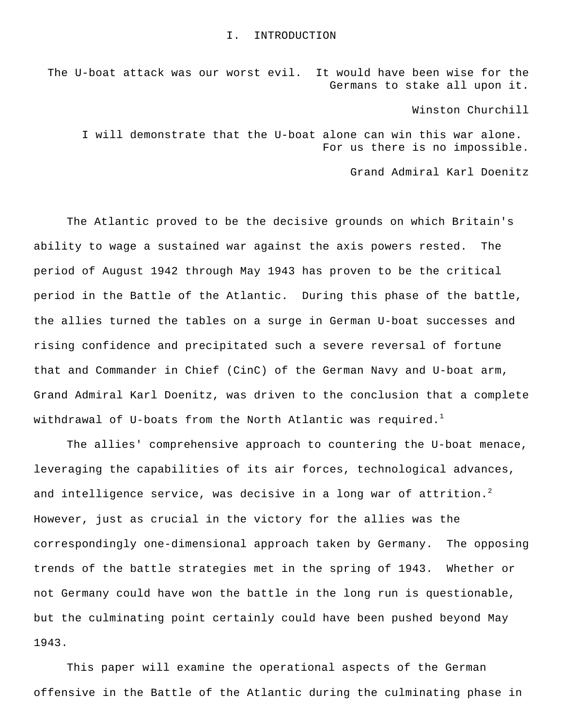#### I. INTRODUCTION

The U-boat attack was our worst evil. It would have been wise for the Germans to stake all upon it.

Winston Churchill

I will demonstrate that the U-boat alone can win this war alone. For us there is no impossible.

Grand Admiral Karl Doenitz

The Atlantic proved to be the decisive grounds on which Britain's ability to wage a sustained war against the axis powers rested. The period of August 1942 through May 1943 has proven to be the critical period in the Battle of the Atlantic. During this phase of the battle, the allies turned the tables on a surge in German U-boat successes and rising confidence and precipitated such a severe reversal of fortune that and Commander in Chief (CinC) of the German Navy and U-boat arm, Grand Admiral Karl Doenitz, was driven to the conclusion that a complete withdrawal of U-boats from the North Atlantic was required.<sup>1</sup>

The allies' comprehensive approach to countering the U-boat menace, leveraging the capabilities of its air forces, technological advances, and intelligence service, was decisive in a long war of attrition.<sup>2</sup> However, just as crucial in the victory for the allies was the correspondingly one-dimensional approach taken by Germany. The opposing trends of the battle strategies met in the spring of 1943. Whether or not Germany could have won the battle in the long run is questionable, but the culminating point certainly could have been pushed beyond May 1943.

This paper will examine the operational aspects of the German offensive in the Battle of the Atlantic during the culminating phase in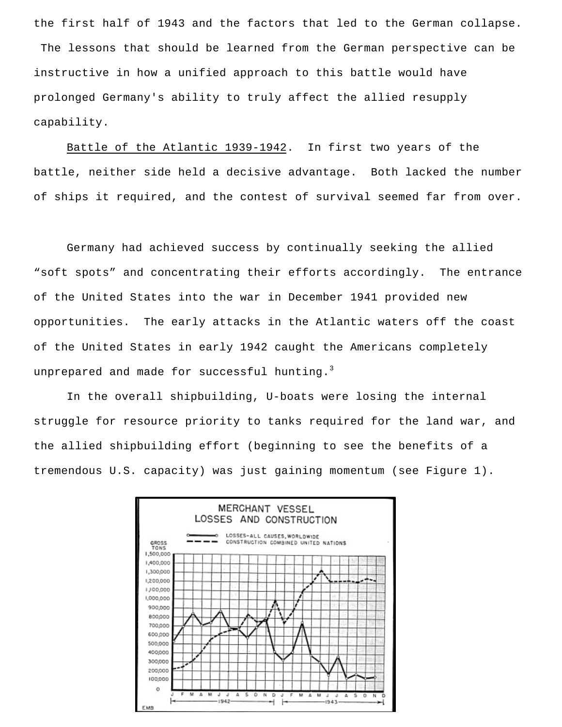the first half of 1943 and the factors that led to the German collapse. The lessons that should be learned from the German perspective can be instructive in how a unified approach to this battle would have prolonged Germany's ability to truly affect the allied resupply capability.

Battle of the Atlantic 1939-1942. In first two years of the battle, neither side held a decisive advantage. Both lacked the number of ships it required, and the contest of survival seemed far from over.

Germany had achieved success by continually seeking the allied "soft spots" and concentrating their efforts accordingly. The entrance of the United States into the war in December 1941 provided new opportunities. The early attacks in the Atlantic waters off the coast of the United States in early 1942 caught the Americans completely unprepared and made for successful hunting. $3$ 

In the overall shipbuilding, U-boats were losing the internal struggle for resource priority to tanks required for the land war, and the allied shipbuilding effort (beginning to see the benefits of a tremendous U.S. capacity) was just gaining momentum (see Figure 1).

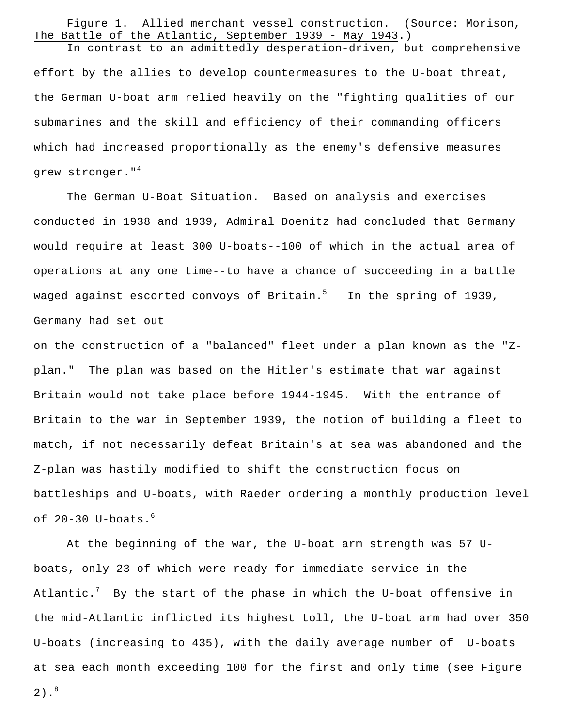Figure 1. Allied merchant vessel construction. (Source: Morison, The Battle of the Atlantic, September 1939 - May 1943.)

In contrast to an admittedly desperation-driven, but comprehensive effort by the allies to develop countermeasures to the U-boat threat, the German U-boat arm relied heavily on the "fighting qualities of our submarines and the skill and efficiency of their commanding officers which had increased proportionally as the enemy's defensive measures grew stronger."<sup>4</sup>

The German U-Boat Situation. Based on analysis and exercises conducted in 1938 and 1939, Admiral Doenitz had concluded that Germany would require at least 300 U-boats--100 of which in the actual area of operations at any one time--to have a chance of succeeding in a battle waged against escorted convoys of Britain.<sup>5</sup> In the spring of 1939, Germany had set out

on the construction of a "balanced" fleet under a plan known as the "Zplan." The plan was based on the Hitler's estimate that war against Britain would not take place before 1944-1945. With the entrance of Britain to the war in September 1939, the notion of building a fleet to match, if not necessarily defeat Britain's at sea was abandoned and the Z-plan was hastily modified to shift the construction focus on battleships and U-boats, with Raeder ordering a monthly production level of  $20-30$  U-boats.<sup>6</sup>

At the beginning of the war, the U-boat arm strength was 57 Uboats, only 23 of which were ready for immediate service in the Atlantic.<sup>7</sup> By the start of the phase in which the U-boat offensive in the mid-Atlantic inflicted its highest toll, the U-boat arm had over 350 U-boats (increasing to 435), with the daily average number of U-boats at sea each month exceeding 100 for the first and only time (see Figure

 $2)$ .<sup>8</sup>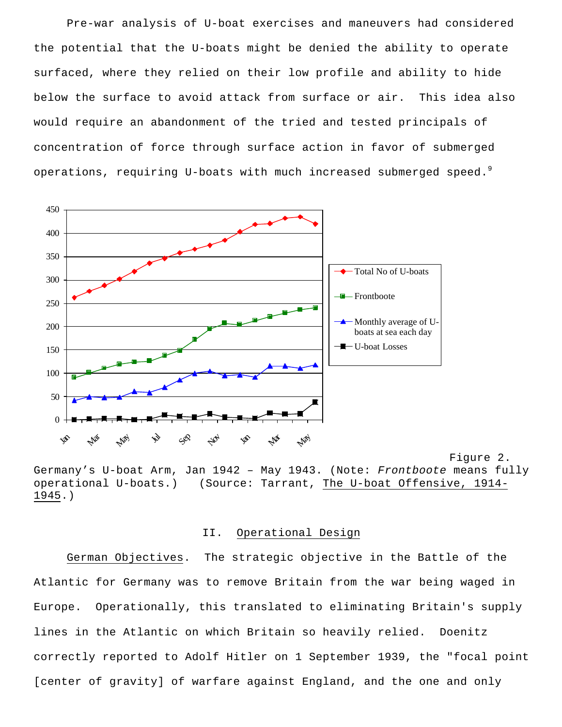Pre-war analysis of U-boat exercises and maneuvers had considered the potential that the U-boats might be denied the ability to operate surfaced, where they relied on their low profile and ability to hide below the surface to avoid attack from surface or air. This idea also would require an abandonment of the tried and tested principals of concentration of force through surface action in favor of submerged operations, requiring U-boats with much increased submerged speed.<sup>9</sup>



Figure 2. Germany's U-boat Arm, Jan 1942 – May 1943. (Note: *Frontboote* means fully operational U-boats.) (Source: Tarrant, The U-boat Offensive, 1914- 1945.)

#### II. Operational Design

German Objectives. The strategic objective in the Battle of the Atlantic for Germany was to remove Britain from the war being waged in Europe. Operationally, this translated to eliminating Britain's supply lines in the Atlantic on which Britain so heavily relied. Doenitz correctly reported to Adolf Hitler on 1 September 1939, the "focal point [center of gravity] of warfare against England, and the one and only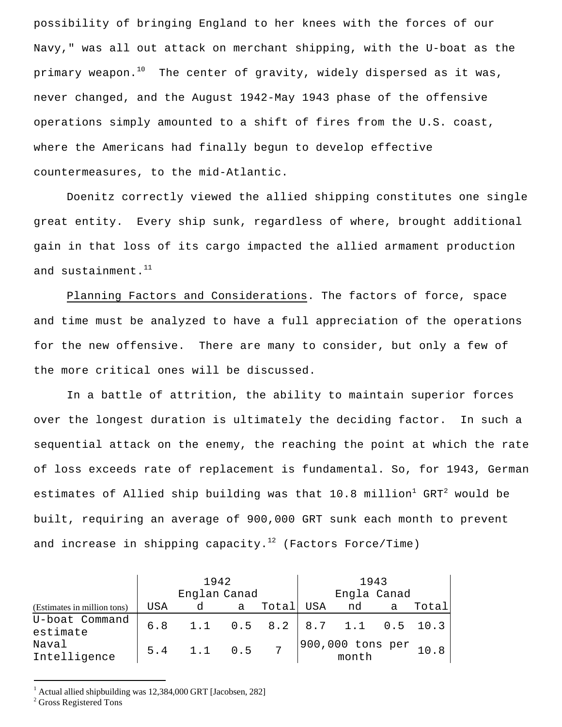possibility of bringing England to her knees with the forces of our Navy," was all out attack on merchant shipping, with the U-boat as the primary weapon.<sup>10</sup> The center of gravity, widely dispersed as it was, never changed, and the August 1942-May 1943 phase of the offensive operations simply amounted to a shift of fires from the U.S. coast, where the Americans had finally begun to develop effective countermeasures, to the mid-Atlantic.

Doenitz correctly viewed the allied shipping constitutes one single great entity. Every ship sunk, regardless of where, brought additional gain in that loss of its cargo impacted the allied armament production and sustainment. $11$ 

Planning Factors and Considerations. The factors of force, space and time must be analyzed to have a full appreciation of the operations for the new offensive. There are many to consider, but only a few of the more critical ones will be discussed.

In a battle of attrition, the ability to maintain superior forces over the longest duration is ultimately the deciding factor. In such a sequential attack on the enemy, the reaching the point at which the rate of loss exceeds rate of replacement is fundamental. So, for 1943, German estimates of Allied ship building was that  $10.8$  million<sup>1</sup> GRT<sup>2</sup> would be built, requiring an average of 900,000 GRT sunk each month to prevent and increase in shipping capacity.<sup>12</sup> (Factors Force/Time)

|                             | 1942         |                                    |   |       | 1943        |                                                                                |          |       |
|-----------------------------|--------------|------------------------------------|---|-------|-------------|--------------------------------------------------------------------------------|----------|-------|
|                             | Englan Canad |                                    |   |       | Engla Canad |                                                                                |          |       |
| (Estimates in million tons) | USA          | d                                  | a | Total | USA         | nd                                                                             | $\alpha$ | Total |
| U-boat Command<br>estimate  |              | 6.8 1.1 0.5 8.2   8.7 1.1 0.5 10.3 |   |       |             |                                                                                |          |       |
| Naval<br>Intelligence       |              | 5.4 1.1 0.5 7                      |   |       |             | $\begin{vmatrix} 900,000 & \text{tons per} \\ \text{month} \end{vmatrix}$ 10.8 |          |       |

1 Actual allied shipbuilding was 12,384,000 GRT [Jacobsen, 282]

<sup>2</sup> Gross Registered Tons

i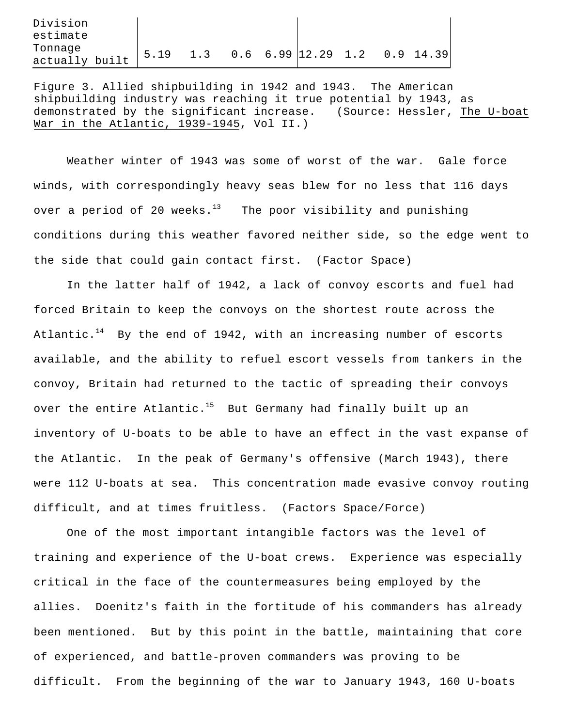| Division       |      |     |  |                           |  |             |
|----------------|------|-----|--|---------------------------|--|-------------|
| estimate       |      |     |  |                           |  |             |
| Tonnage        | 5.19 | 1.3 |  | $0.6 \quad 6.99$ 2.29 1.2 |  | $0.9$ 14.39 |
| actually built |      |     |  |                           |  |             |

Figure 3. Allied shipbuilding in 1942 and 1943. The American shipbuilding industry was reaching it true potential by 1943, as demonstrated by the significant increase. (Source: Hessler, The U-boat War in the Atlantic, 1939-1945, Vol II.)

Weather winter of 1943 was some of worst of the war. Gale force winds, with correspondingly heavy seas blew for no less that 116 days over a period of 20 weeks. $13$  The poor visibility and punishing conditions during this weather favored neither side, so the edge went to the side that could gain contact first. (Factor Space)

In the latter half of 1942, a lack of convoy escorts and fuel had forced Britain to keep the convoys on the shortest route across the Atlantic. $^{14}$  By the end of 1942, with an increasing number of escorts available, and the ability to refuel escort vessels from tankers in the convoy, Britain had returned to the tactic of spreading their convoys over the entire Atlantic.<sup>15</sup> But Germany had finally built up an inventory of U-boats to be able to have an effect in the vast expanse of the Atlantic. In the peak of Germany's offensive (March 1943), there were 112 U-boats at sea. This concentration made evasive convoy routing difficult, and at times fruitless. (Factors Space/Force)

One of the most important intangible factors was the level of training and experience of the U-boat crews. Experience was especially critical in the face of the countermeasures being employed by the allies. Doenitz's faith in the fortitude of his commanders has already been mentioned. But by this point in the battle, maintaining that core of experienced, and battle-proven commanders was proving to be difficult. From the beginning of the war to January 1943, 160 U-boats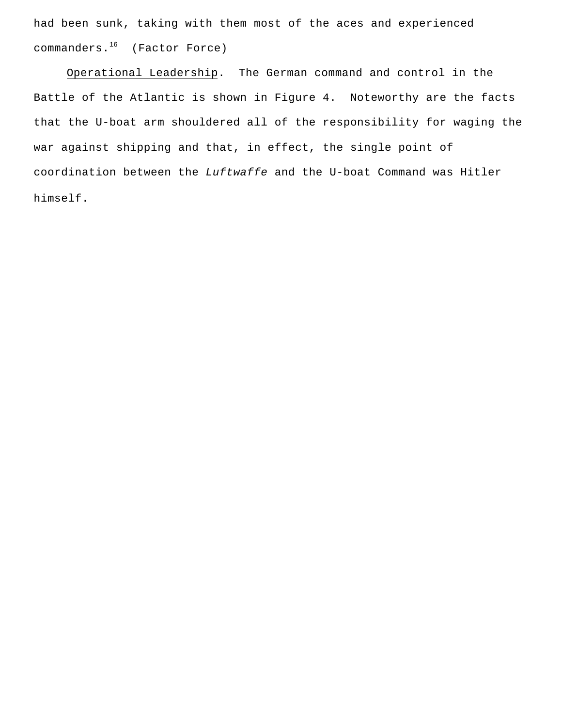had been sunk, taking with them most of the aces and experienced commanders.<sup>16</sup> (Factor Force)

Operational Leadership. The German command and control in the Battle of the Atlantic is shown in Figure 4. Noteworthy are the facts that the U-boat arm shouldered all of the responsibility for waging the war against shipping and that, in effect, the single point of coordination between the *Luftwaffe* and the U-boat Command was Hitler himself.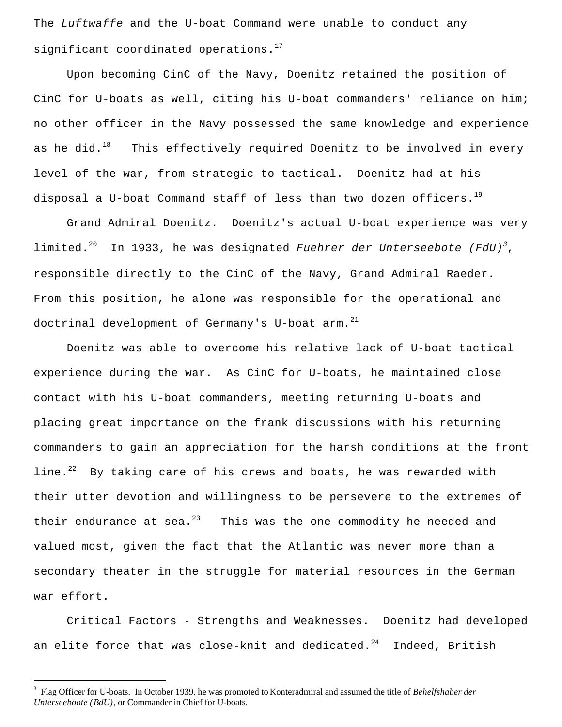The *Luftwaffe* and the U-boat Command were unable to conduct any significant coordinated operations. $17$ 

Upon becoming CinC of the Navy, Doenitz retained the position of CinC for U-boats as well, citing his U-boat commanders' reliance on him; no other officer in the Navy possessed the same knowledge and experience as he did.<sup>18</sup> This effectively required Doenitz to be involved in every level of the war, from strategic to tactical. Doenitz had at his disposal a U-boat Command staff of less than two dozen officers.<sup>19</sup>

Grand Admiral Doenitz. Doenitz's actual U-boat experience was very limited.<sup>20</sup> In 1933, he was designated *Fuehrer der Unterseebote (FdU)<sup>3</sup>*, responsible directly to the CinC of the Navy, Grand Admiral Raeder. From this position, he alone was responsible for the operational and doctrinal development of Germany's U-boat arm.<sup>21</sup>

Doenitz was able to overcome his relative lack of U-boat tactical experience during the war. As CinC for U-boats, he maintained close contact with his U-boat commanders, meeting returning U-boats and placing great importance on the frank discussions with his returning commanders to gain an appreciation for the harsh conditions at the front line. $^{22}$  By taking care of his crews and boats, he was rewarded with their utter devotion and willingness to be persevere to the extremes of their endurance at sea. $^{23}$  This was the one commodity he needed and valued most, given the fact that the Atlantic was never more than a secondary theater in the struggle for material resources in the German war effort.

Critical Factors - Strengths and Weaknesses. Doenitz had developed an elite force that was close-knit and dedicated. $24$  Indeed, British

i

<sup>3</sup> Flag Officer for U-boats. In October 1939, he was promoted to Konteradmiral and assumed the title of *Behelfshaber der Unterseeboote (BdU)*, or Commander in Chief for U-boats.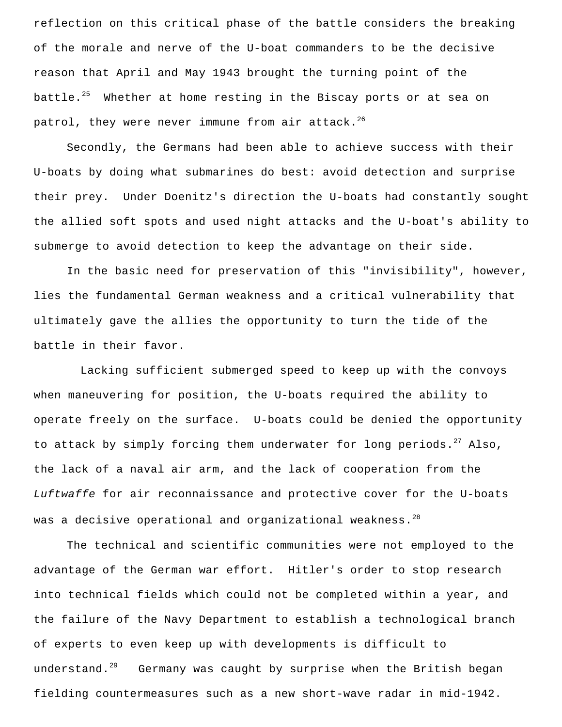reflection on this critical phase of the battle considers the breaking of the morale and nerve of the U-boat commanders to be the decisive reason that April and May 1943 brought the turning point of the battle.<sup>25</sup> Whether at home resting in the Biscay ports or at sea on patrol, they were never immune from air attack.<sup>26</sup>

Secondly, the Germans had been able to achieve success with their U-boats by doing what submarines do best: avoid detection and surprise their prey. Under Doenitz's direction the U-boats had constantly sought the allied soft spots and used night attacks and the U-boat's ability to submerge to avoid detection to keep the advantage on their side.

In the basic need for preservation of this "invisibility", however, lies the fundamental German weakness and a critical vulnerability that ultimately gave the allies the opportunity to turn the tide of the battle in their favor.

 Lacking sufficient submerged speed to keep up with the convoys when maneuvering for position, the U-boats required the ability to operate freely on the surface. U-boats could be denied the opportunity to attack by simply forcing them underwater for long periods. $^{27}$  Also, the lack of a naval air arm, and the lack of cooperation from the *Luftwaffe* for air reconnaissance and protective cover for the U-boats was a decisive operational and organizational weakness.<sup>28</sup>

The technical and scientific communities were not employed to the advantage of the German war effort. Hitler's order to stop research into technical fields which could not be completed within a year, and the failure of the Navy Department to establish a technological branch of experts to even keep up with developments is difficult to understand.<sup>29</sup> Germany was caught by surprise when the British began fielding countermeasures such as a new short-wave radar in mid-1942.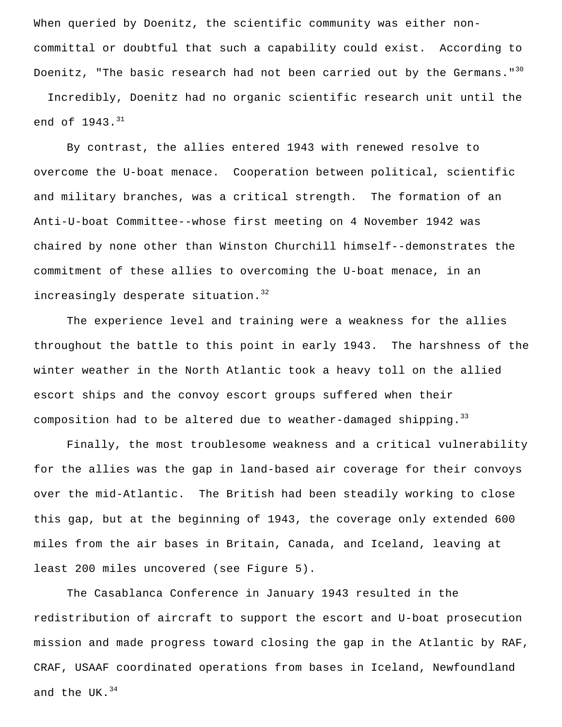When queried by Doenitz, the scientific community was either noncommittal or doubtful that such a capability could exist. According to Doenitz, "The basic research had not been carried out by the Germans."<sup>30</sup>

 Incredibly, Doenitz had no organic scientific research unit until the end of  $1943.^{31}$ 

By contrast, the allies entered 1943 with renewed resolve to overcome the U-boat menace. Cooperation between political, scientific and military branches, was a critical strength. The formation of an Anti-U-boat Committee--whose first meeting on 4 November 1942 was chaired by none other than Winston Churchill himself--demonstrates the commitment of these allies to overcoming the U-boat menace, in an increasingly desperate situation.<sup>32</sup>

The experience level and training were a weakness for the allies throughout the battle to this point in early 1943. The harshness of the winter weather in the North Atlantic took a heavy toll on the allied escort ships and the convoy escort groups suffered when their composition had to be altered due to weather-damaged shipping.  $33$ 

Finally, the most troublesome weakness and a critical vulnerability for the allies was the gap in land-based air coverage for their convoys over the mid-Atlantic. The British had been steadily working to close this gap, but at the beginning of 1943, the coverage only extended 600 miles from the air bases in Britain, Canada, and Iceland, leaving at least 200 miles uncovered (see Figure 5).

The Casablanca Conference in January 1943 resulted in the redistribution of aircraft to support the escort and U-boat prosecution mission and made progress toward closing the gap in the Atlantic by RAF, CRAF, USAAF coordinated operations from bases in Iceland, Newfoundland and the UK. $34$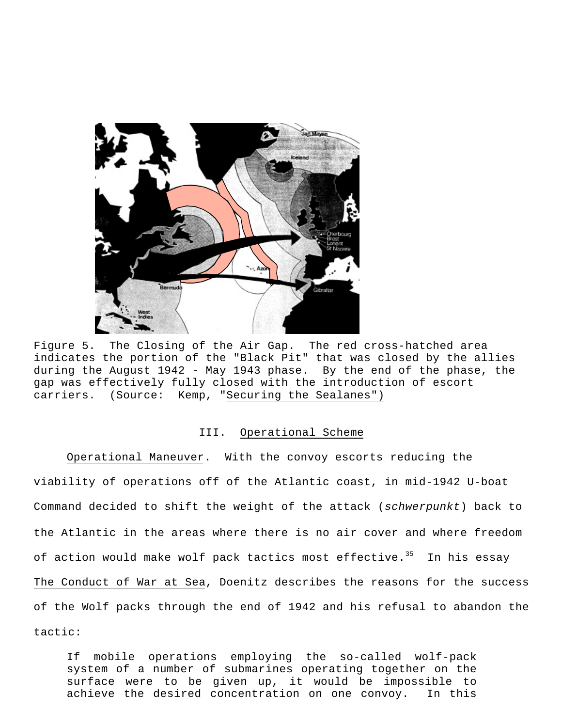

Figure 5. The Closing of the Air Gap. The red cross-hatched area indicates the portion of the "Black Pit" that was closed by the allies during the August 1942 - May 1943 phase. By the end of the phase, the gap was effectively fully closed with the introduction of escort carriers. (Source: Kemp, "Securing the Sealanes")

#### III. Operational Scheme

Operational Maneuver. With the convoy escorts reducing the viability of operations off of the Atlantic coast, in mid-1942 U-boat Command decided to shift the weight of the attack (*schwerpunkt*) back to the Atlantic in the areas where there is no air cover and where freedom of action would make wolf pack tactics most effective.<sup>35</sup> In his essay The Conduct of War at Sea, Doenitz describes the reasons for the success of the Wolf packs through the end of 1942 and his refusal to abandon the tactic:

If mobile operations employing the so-called wolf-pack system of a number of submarines operating together on the surface were to be given up, it would be impossible to achieve the desired concentration on one convoy. In this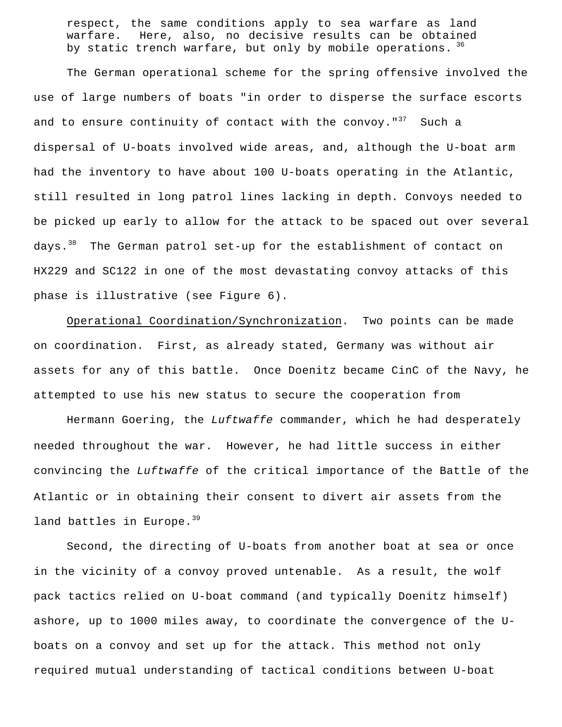respect, the same conditions apply to sea warfare as land warfare. Here, also, no decisive results can be obtained by static trench warfare, but only by mobile operations. <sup>36</sup>

The German operational scheme for the spring offensive involved the use of large numbers of boats "in order to disperse the surface escorts and to ensure continuity of contact with the convoy." $37$  Such a dispersal of U-boats involved wide areas, and, although the U-boat arm had the inventory to have about 100 U-boats operating in the Atlantic, still resulted in long patrol lines lacking in depth. Convoys needed to be picked up early to allow for the attack to be spaced out over several days.<sup>38</sup> The German patrol set-up for the establishment of contact on HX229 and SC122 in one of the most devastating convoy attacks of this phase is illustrative (see Figure 6).

Operational Coordination/Synchronization. Two points can be made on coordination. First, as already stated, Germany was without air assets for any of this battle. Once Doenitz became CinC of the Navy, he attempted to use his new status to secure the cooperation from

Hermann Goering, the *Luftwaffe* commander, which he had desperately needed throughout the war. However, he had little success in either convincing the *Luftwaffe* of the critical importance of the Battle of the Atlantic or in obtaining their consent to divert air assets from the land battles in Europe.<sup>39</sup>

Second, the directing of U-boats from another boat at sea or once in the vicinity of a convoy proved untenable. As a result, the wolf pack tactics relied on U-boat command (and typically Doenitz himself) ashore, up to 1000 miles away, to coordinate the convergence of the Uboats on a convoy and set up for the attack. This method not only required mutual understanding of tactical conditions between U-boat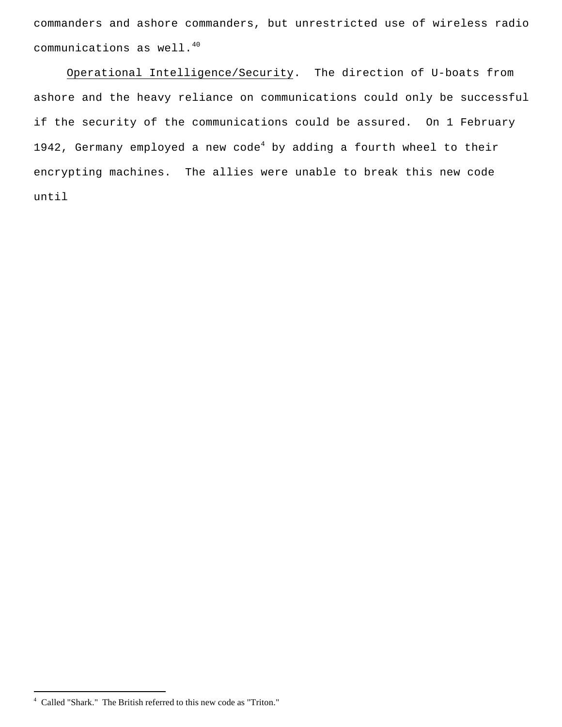commanders and ashore commanders, but unrestricted use of wireless radio communications as well.<sup>40</sup>

Operational Intelligence/Security. The direction of U-boats from ashore and the heavy reliance on communications could only be successful if the security of the communications could be assured. On 1 February 1942, Germany employed a new code<sup>4</sup> by adding a fourth wheel to their encrypting machines. The allies were unable to break this new code until

i

<sup>4</sup> Called "Shark." The British referred to this new code as "Triton."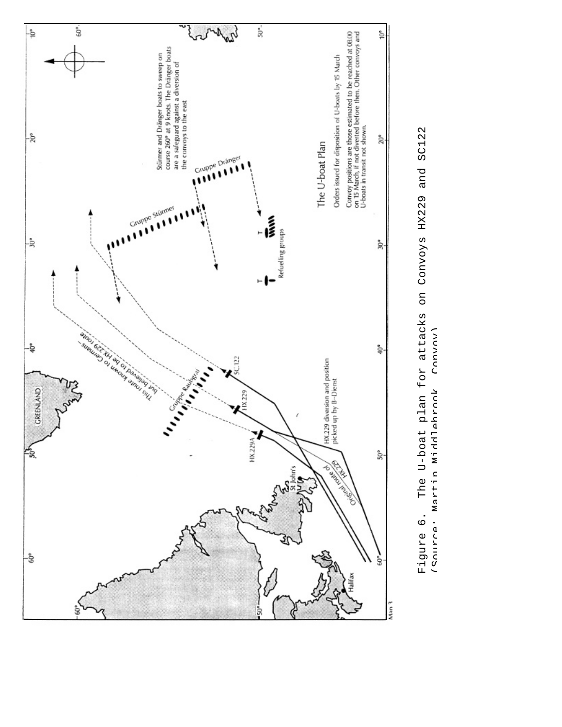

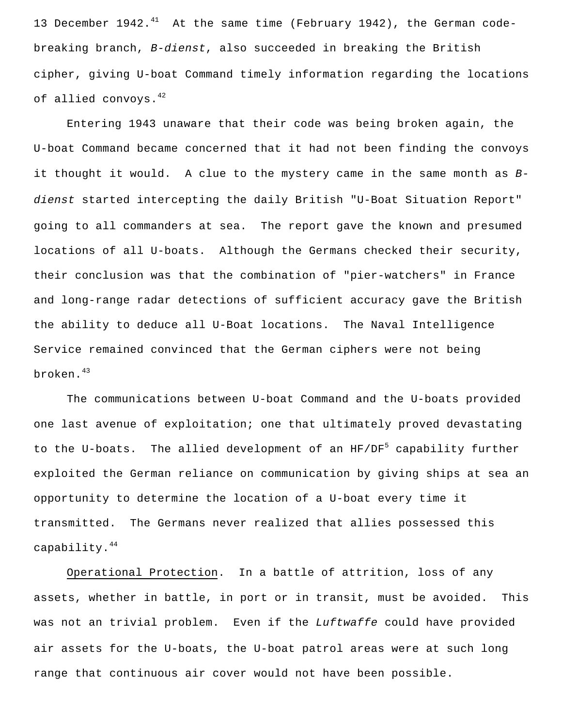13 December 1942. $^{41}$  At the same time (February 1942), the German codebreaking branch, *B-dienst*, also succeeded in breaking the British cipher, giving U-boat Command timely information regarding the locations of allied convoys.<sup>42</sup>

Entering 1943 unaware that their code was being broken again, the U-boat Command became concerned that it had not been finding the convoys it thought it would. A clue to the mystery came in the same month as *Bdienst* started intercepting the daily British "U-Boat Situation Report" going to all commanders at sea. The report gave the known and presumed locations of all U-boats. Although the Germans checked their security, their conclusion was that the combination of "pier-watchers" in France and long-range radar detections of sufficient accuracy gave the British the ability to deduce all U-Boat locations. The Naval Intelligence Service remained convinced that the German ciphers were not being broken.<sup>43</sup>

The communications between U-boat Command and the U-boats provided one last avenue of exploitation; one that ultimately proved devastating to the U-boats. The allied development of an HF/DF<sup>5</sup> capability further exploited the German reliance on communication by giving ships at sea an opportunity to determine the location of a U-boat every time it transmitted. The Germans never realized that allies possessed this capability.<sup>44</sup>

Operational Protection. In a battle of attrition, loss of any assets, whether in battle, in port or in transit, must be avoided. This was not an trivial problem. Even if the *Luftwaffe* could have provided air assets for the U-boats, the U-boat patrol areas were at such long range that continuous air cover would not have been possible.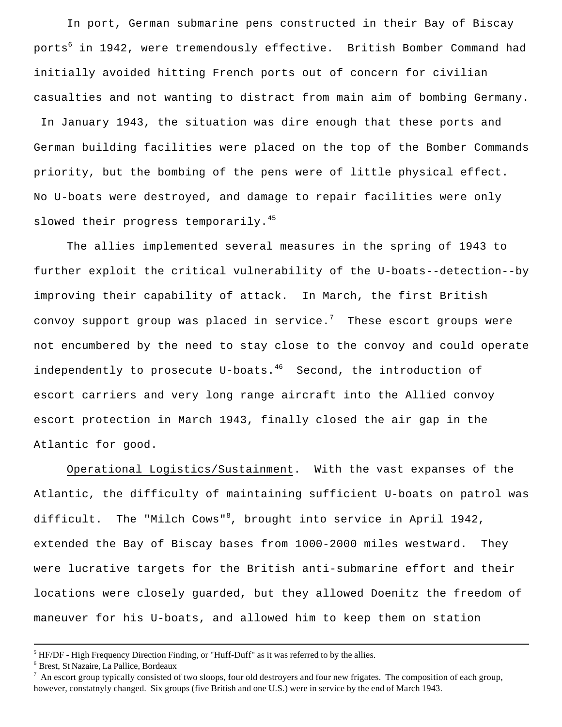In port, German submarine pens constructed in their Bay of Biscay ports<sup>6</sup> in 1942, were tremendously effective. British Bomber Command had initially avoided hitting French ports out of concern for civilian casualties and not wanting to distract from main aim of bombing Germany. In January 1943, the situation was dire enough that these ports and German building facilities were placed on the top of the Bomber Commands priority, but the bombing of the pens were of little physical effect. No U-boats were destroyed, and damage to repair facilities were only slowed their progress temporarily. $45$ 

The allies implemented several measures in the spring of 1943 to further exploit the critical vulnerability of the U-boats--detection--by improving their capability of attack. In March, the first British convoy support group was placed in service.<sup>7</sup> These escort groups were not encumbered by the need to stay close to the convoy and could operate independently to prosecute U-boats. $46$  Second, the introduction of escort carriers and very long range aircraft into the Allied convoy escort protection in March 1943, finally closed the air gap in the Atlantic for good.

Operational Logistics/Sustainment. With the vast expanses of the Atlantic, the difficulty of maintaining sufficient U-boats on patrol was difficult. The "Milch Cows"<sup>8</sup>, brought into service in April 1942, extended the Bay of Biscay bases from 1000-2000 miles westward. They were lucrative targets for the British anti-submarine effort and their locations were closely guarded, but they allowed Doenitz the freedom of maneuver for his U-boats, and allowed him to keep them on station

i

 $<sup>5</sup>$  HF/DF - High Frequency Direction Finding, or "Huff-Duff" as it was referred to by the allies.</sup>

<sup>6</sup> Brest, St Nazaire, La Pallice, Bordeaux

<sup>7</sup> An escort group typically consisted of two sloops, four old destroyers and four new frigates. The composition of each group, however, constatnyly changed. Six groups (five British and one U.S.) were in service by the end of March 1943.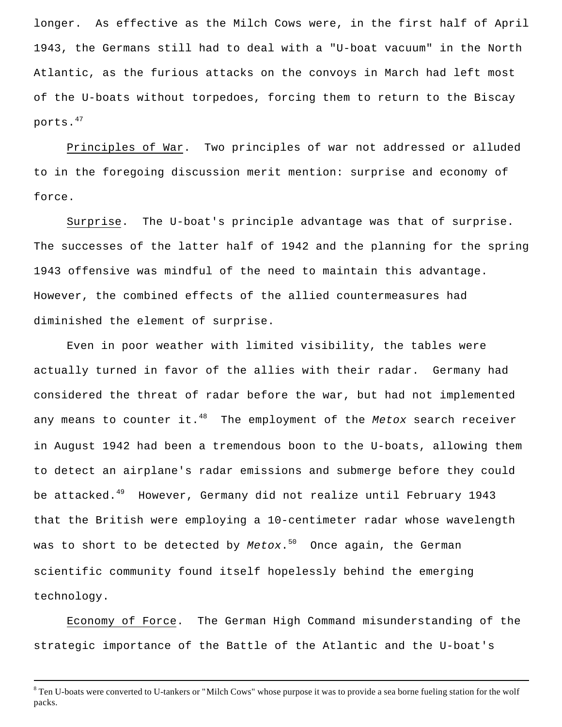longer. As effective as the Milch Cows were, in the first half of April 1943, the Germans still had to deal with a "U-boat vacuum" in the North Atlantic, as the furious attacks on the convoys in March had left most of the U-boats without torpedoes, forcing them to return to the Biscay ports.<sup>47</sup>

Principles of War. Two principles of war not addressed or alluded to in the foregoing discussion merit mention: surprise and economy of force.

Surprise. The U-boat's principle advantage was that of surprise. The successes of the latter half of 1942 and the planning for the spring 1943 offensive was mindful of the need to maintain this advantage. However, the combined effects of the allied countermeasures had diminished the element of surprise.

Even in poor weather with limited visibility, the tables were actually turned in favor of the allies with their radar. Germany had considered the threat of radar before the war, but had not implemented any means to counter it.<sup>48</sup> The employment of the *Metox* search receiver in August 1942 had been a tremendous boon to the U-boats, allowing them to detect an airplane's radar emissions and submerge before they could be attacked.<sup>49</sup> However, Germany did not realize until February 1943 that the British were employing a 10-centimeter radar whose wavelength was to short to be detected by *Metox*. <sup>50</sup> Once again, the German scientific community found itself hopelessly behind the emerging technology.

Economy of Force. The German High Command misunderstanding of the strategic importance of the Battle of the Atlantic and the U-boat's

i

<sup>&</sup>lt;sup>8</sup> Ten U-boats were converted to U-tankers or "Milch Cows" whose purpose it was to provide a sea borne fueling station for the wolf packs.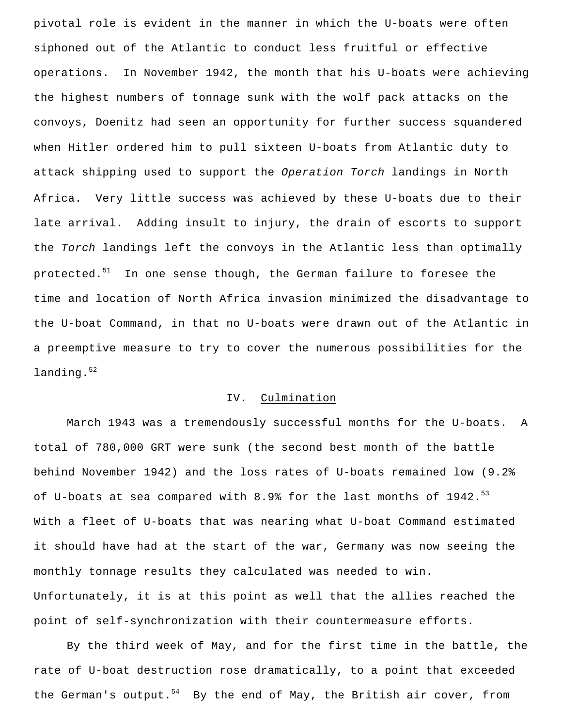pivotal role is evident in the manner in which the U-boats were often siphoned out of the Atlantic to conduct less fruitful or effective operations. In November 1942, the month that his U-boats were achieving the highest numbers of tonnage sunk with the wolf pack attacks on the convoys, Doenitz had seen an opportunity for further success squandered when Hitler ordered him to pull sixteen U-boats from Atlantic duty to attack shipping used to support the *Operation Torch* landings in North Africa. Very little success was achieved by these U-boats due to their late arrival. Adding insult to injury, the drain of escorts to support the *Torch* landings left the convoys in the Atlantic less than optimally protected. $51$  In one sense though, the German failure to foresee the time and location of North Africa invasion minimized the disadvantage to the U-boat Command, in that no U-boats were drawn out of the Atlantic in a preemptive measure to try to cover the numerous possibilities for the landing.<sup>52</sup>

#### IV. Culmination

March 1943 was a tremendously successful months for the U-boats. A total of 780,000 GRT were sunk (the second best month of the battle behind November 1942) and the loss rates of U-boats remained low (9.2% of U-boats at sea compared with 8.9% for the last months of  $1942.^{53}$ With a fleet of U-boats that was nearing what U-boat Command estimated it should have had at the start of the war, Germany was now seeing the monthly tonnage results they calculated was needed to win. Unfortunately, it is at this point as well that the allies reached the point of self-synchronization with their countermeasure efforts.

By the third week of May, and for the first time in the battle, the rate of U-boat destruction rose dramatically, to a point that exceeded the German's output.<sup>54</sup> By the end of May, the British air cover, from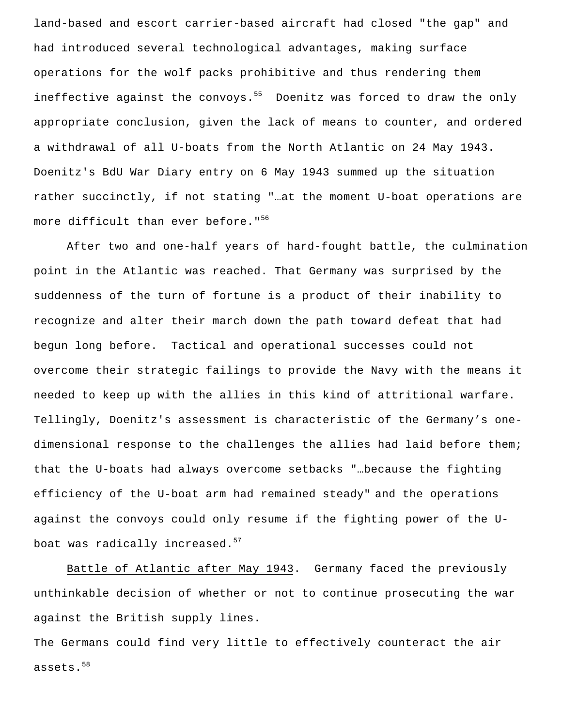land-based and escort carrier-based aircraft had closed "the gap" and had introduced several technological advantages, making surface operations for the wolf packs prohibitive and thus rendering them ineffective against the convoys.<sup>55</sup> Doenitz was forced to draw the only appropriate conclusion, given the lack of means to counter, and ordered a withdrawal of all U-boats from the North Atlantic on 24 May 1943. Doenitz's BdU War Diary entry on 6 May 1943 summed up the situation rather succinctly, if not stating "…at the moment U-boat operations are more difficult than ever before."<sup>56</sup>

After two and one-half years of hard-fought battle, the culmination point in the Atlantic was reached. That Germany was surprised by the suddenness of the turn of fortune is a product of their inability to recognize and alter their march down the path toward defeat that had begun long before. Tactical and operational successes could not overcome their strategic failings to provide the Navy with the means it needed to keep up with the allies in this kind of attritional warfare. Tellingly, Doenitz's assessment is characteristic of the Germany's onedimensional response to the challenges the allies had laid before them; that the U-boats had always overcome setbacks "…because the fighting efficiency of the U-boat arm had remained steady" and the operations against the convoys could only resume if the fighting power of the Uboat was radically increased.<sup>57</sup>

Battle of Atlantic after May 1943. Germany faced the previously unthinkable decision of whether or not to continue prosecuting the war against the British supply lines.

The Germans could find very little to effectively counteract the air assets.<sup>58</sup>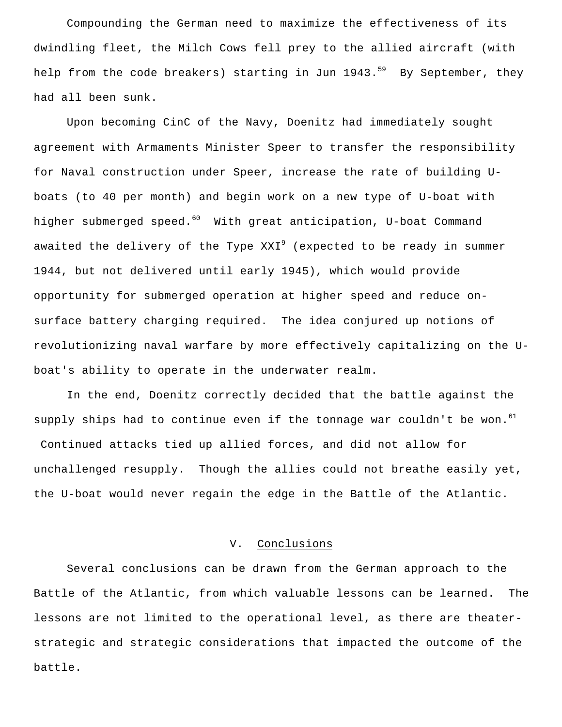Compounding the German need to maximize the effectiveness of its dwindling fleet, the Milch Cows fell prey to the allied aircraft (with help from the code breakers) starting in Jun  $1943.^{59}$  By September, they had all been sunk.

Upon becoming CinC of the Navy, Doenitz had immediately sought agreement with Armaments Minister Speer to transfer the responsibility for Naval construction under Speer, increase the rate of building Uboats (to 40 per month) and begin work on a new type of U-boat with higher submerged speed.<sup>60</sup> With great anticipation, U-boat Command awaited the delivery of the Type  $XXI<sup>9</sup>$  (expected to be ready in summer 1944, but not delivered until early 1945), which would provide opportunity for submerged operation at higher speed and reduce onsurface battery charging required. The idea conjured up notions of revolutionizing naval warfare by more effectively capitalizing on the Uboat's ability to operate in the underwater realm.

In the end, Doenitz correctly decided that the battle against the supply ships had to continue even if the tonnage war couldn't be won. $^{61}$  Continued attacks tied up allied forces, and did not allow for unchallenged resupply. Though the allies could not breathe easily yet, the U-boat would never regain the edge in the Battle of the Atlantic.

### V. Conclusions

Several conclusions can be drawn from the German approach to the Battle of the Atlantic, from which valuable lessons can be learned. The lessons are not limited to the operational level, as there are theaterstrategic and strategic considerations that impacted the outcome of the battle.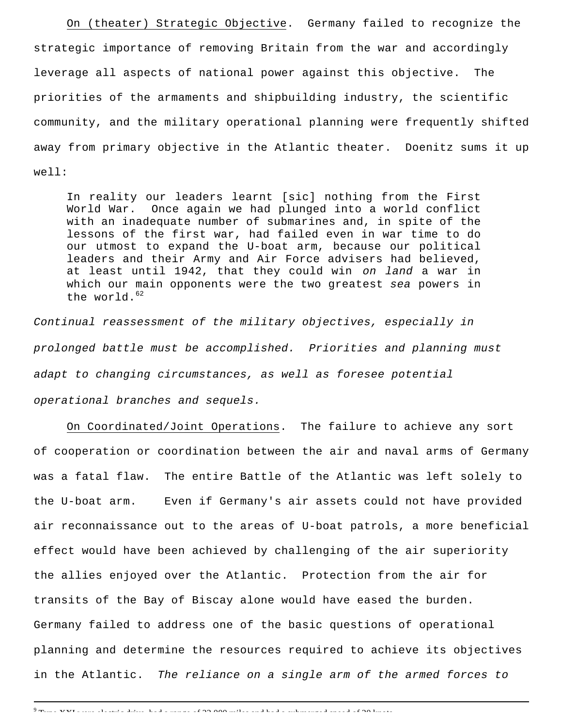On (theater) Strategic Objective. Germany failed to recognize the strategic importance of removing Britain from the war and accordingly leverage all aspects of national power against this objective. The priorities of the armaments and shipbuilding industry, the scientific community, and the military operational planning were frequently shifted away from primary objective in the Atlantic theater. Doenitz sums it up well:

In reality our leaders learnt [sic] nothing from the First World War. Once again we had plunged into a world conflict with an inadequate number of submarines and, in spite of the lessons of the first war, had failed even in war time to do our utmost to expand the U-boat arm, because our political leaders and their Army and Air Force advisers had believed, at least until 1942, that they could win *on land* a war in which our main opponents were the two greatest *sea* powers in the world.<sup>62</sup>

*Continual reassessment of the military objectives, especially in prolonged battle must be accomplished. Priorities and planning must adapt to changing circumstances, as well as foresee potential operational branches and sequels.*

On Coordinated/Joint Operations. The failure to achieve any sort of cooperation or coordination between the air and naval arms of Germany was a fatal flaw. The entire Battle of the Atlantic was left solely to the U-boat arm. Even if Germany's air assets could not have provided air reconnaissance out to the areas of U-boat patrols, a more beneficial effect would have been achieved by challenging of the air superiority the allies enjoyed over the Atlantic. Protection from the air for transits of the Bay of Biscay alone would have eased the burden. Germany failed to address one of the basic questions of operational planning and determine the resources required to achieve its objectives in the Atlantic. *The reliance on a single arm of the armed forces to*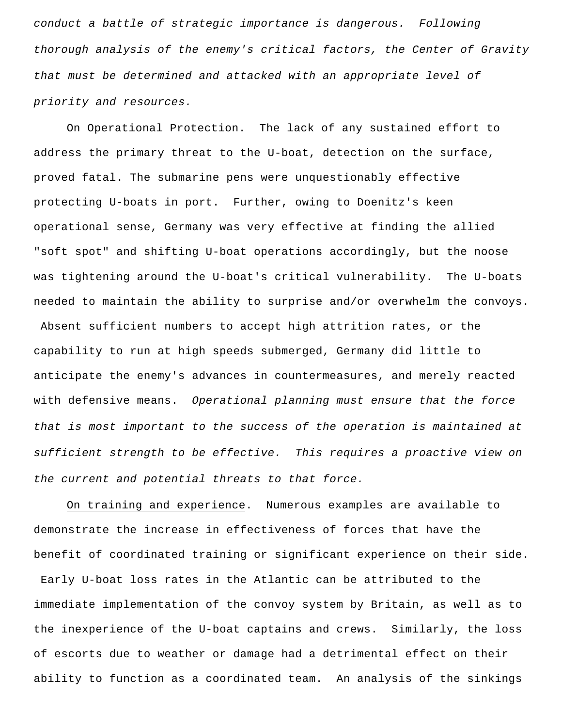*conduct a battle of strategic importance is dangerous. Following thorough analysis of the enemy's critical factors, the Center of Gravity that must be determined and attacked with an appropriate level of priority and resources.* 

On Operational Protection. The lack of any sustained effort to address the primary threat to the U-boat, detection on the surface, proved fatal. The submarine pens were unquestionably effective protecting U-boats in port. Further, owing to Doenitz's keen operational sense, Germany was very effective at finding the allied "soft spot" and shifting U-boat operations accordingly, but the noose was tightening around the U-boat's critical vulnerability. The U-boats needed to maintain the ability to surprise and/or overwhelm the convoys.

 Absent sufficient numbers to accept high attrition rates, or the capability to run at high speeds submerged, Germany did little to anticipate the enemy's advances in countermeasures, and merely reacted with defensive means. *Operational planning must ensure that the force that is most important to the success of the operation is maintained at sufficient strength to be effective. This requires a proactive view on the current and potential threats to that force.*

On training and experience. Numerous examples are available to demonstrate the increase in effectiveness of forces that have the benefit of coordinated training or significant experience on their side. Early U-boat loss rates in the Atlantic can be attributed to the immediate implementation of the convoy system by Britain, as well as to the inexperience of the U-boat captains and crews. Similarly, the loss of escorts due to weather or damage had a detrimental effect on their ability to function as a coordinated team. An analysis of the sinkings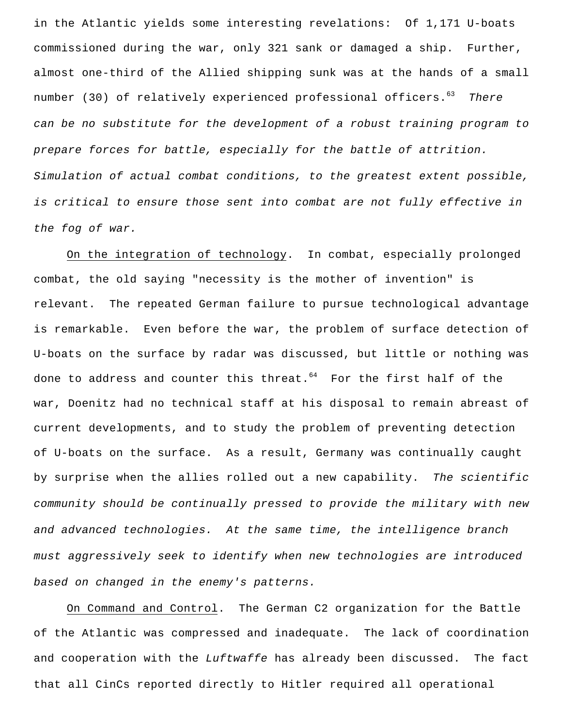in the Atlantic yields some interesting revelations: Of 1,171 U-boats commissioned during the war, only 321 sank or damaged a ship. Further, almost one-third of the Allied shipping sunk was at the hands of a small number (30) of relatively experienced professional officers.<sup>63</sup> There *can be no substitute for the development of a robust training program to prepare forces for battle, especially for the battle of attrition. Simulation of actual combat conditions, to the greatest extent possible, is critical to ensure those sent into combat are not fully effective in the fog of war.*

On the integration of technology. In combat, especially prolonged combat, the old saying "necessity is the mother of invention" is relevant. The repeated German failure to pursue technological advantage is remarkable. Even before the war, the problem of surface detection of U-boats on the surface by radar was discussed, but little or nothing was done to address and counter this threat. $64$  For the first half of the war, Doenitz had no technical staff at his disposal to remain abreast of current developments, and to study the problem of preventing detection of U-boats on the surface. As a result, Germany was continually caught by surprise when the allies rolled out a new capability. *The scientific community should be continually pressed to provide the military with new and advanced technologies. At the same time, the intelligence branch must aggressively seek to identify when new technologies are introduced based on changed in the enemy's patterns.* 

On Command and Control. The German C2 organization for the Battle of the Atlantic was compressed and inadequate. The lack of coordination and cooperation with the *Luftwaffe* has already been discussed. The fact that all CinCs reported directly to Hitler required all operational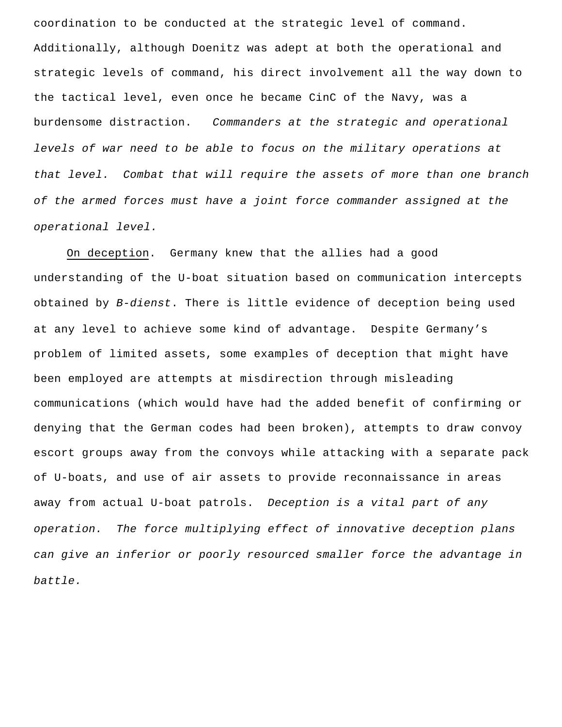coordination to be conducted at the strategic level of command. Additionally, although Doenitz was adept at both the operational and strategic levels of command, his direct involvement all the way down to the tactical level, even once he became CinC of the Navy, was a burdensome distraction. *Commanders at the strategic and operational levels of war need to be able to focus on the military operations at that level. Combat that will require the assets of more than one branch of the armed forces must have a joint force commander assigned at the operational level.* 

On deception. Germany knew that the allies had a good understanding of the U-boat situation based on communication intercepts obtained by *B-dienst*. There is little evidence of deception being used at any level to achieve some kind of advantage. Despite Germany's problem of limited assets, some examples of deception that might have been employed are attempts at misdirection through misleading communications (which would have had the added benefit of confirming or denying that the German codes had been broken), attempts to draw convoy escort groups away from the convoys while attacking with a separate pack of U-boats, and use of air assets to provide reconnaissance in areas away from actual U-boat patrols. *Deception is a vital part of any operation. The force multiplying effect of innovative deception plans can give an inferior or poorly resourced smaller force the advantage in battle.*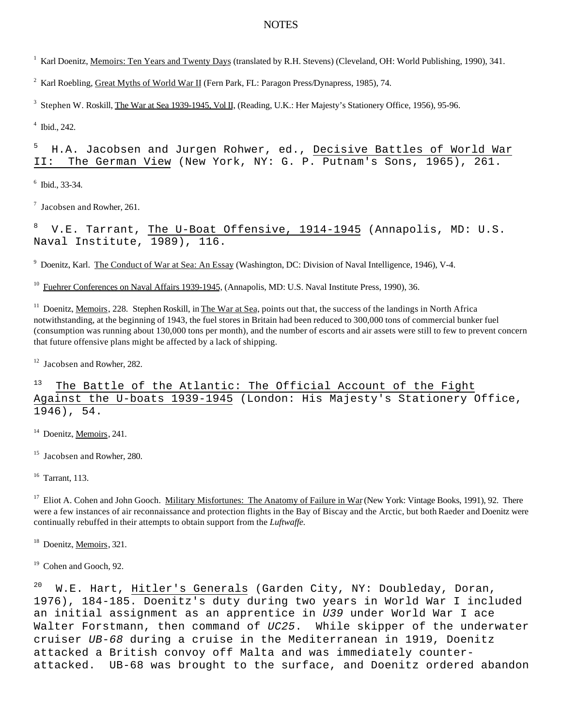## **NOTES**

<sup>1</sup> Karl Doenitz, Memoirs: Ten Years and Twenty Days (translated by R.H. Stevens) (Cleveland, OH: World Publishing, 1990), 341.

<sup>2</sup> Karl Roebling, Great Myths of World War II (Fern Park, FL: Paragon Press/Dynapress, 1985), 74.

 $3$  Stephen W. Roskill, The War at Sea 1939-1945, Vol II, (Reading, U.K.: Her Majesty's Stationery Office, 1956), 95-96.

4 Ibid., 242.

<sup>5</sup> H.A. Jacobsen and Jurgen Rohwer, ed., <u>Decisive Battles of World War</u> II: The German View (New York, NY: G. P. Putnam's Sons, 1965), 261.

6 Ibid., 33-34.

<sup>7</sup> Jacobsen and Rowher, 261.

V.E. Tarrant, The U-Boat Offensive, 1914-1945 (Annapolis, MD: U.S. Naval Institute, 1989), 116.

<sup>9</sup> Doenitz, Karl. The Conduct of War at Sea: An Essay (Washington, DC: Division of Naval Intelligence, 1946), V-4.

<sup>10</sup> Fuehrer Conferences on Naval Affairs 1939-1945, (Annapolis, MD: U.S. Naval Institute Press, 1990), 36.

<sup>11</sup> Doenitz, Memoirs, 228. Stephen Roskill, in The War at Sea, points out that, the success of the landings in North Africa notwithstanding, at the beginning of 1943, the fuel stores in Britain had been reduced to 300,000 tons of commercial bunker fuel (consumption was running about 130,000 tons per month), and the number of escorts and air assets were still to few to prevent concern that future offensive plans might be affected by a lack of shipping.

<sup>12</sup> Jacobsen and Rowher, 282.

 $13$  The Battle of the Atlantic: The Official Account of the Fight Against the U-boats 1939-1945 (London: His Majesty's Stationery Office, 1946), 54.

<sup>14</sup> Doenitz, Memoirs, 241.

<sup>15</sup> Jacobsen and Rowher, 280.

<sup>16</sup> Tarrant, 113.

<sup>17</sup> Eliot A. Cohen and John Gooch. Military Misfortunes: The Anatomy of Failure in War (New York: Vintage Books, 1991), 92. There were a few instances of air reconnaissance and protection flights in the Bay of Biscay and the Arctic, but both Raeder and Doenitz were continually rebuffed in their attempts to obtain support from the *Luftwaffe.*

<sup>18</sup> Doenitz, Memoirs, 321.

<sup>19</sup> Cohen and Gooch, 92.

 $20$  W.E. Hart, Hitler's Generals (Garden City, NY: Doubleday, Doran, 1976), 184-185. Doenitz's duty during two years in World War I included an initial assignment as an apprentice in *U39* under World War I ace Walter Forstmann, then command of *UC25*. While skipper of the underwater cruiser *UB-68* during a cruise in the Mediterranean in 1919, Doenitz attacked a British convoy off Malta and was immediately counterattacked. UB-68 was brought to the surface, and Doenitz ordered abandon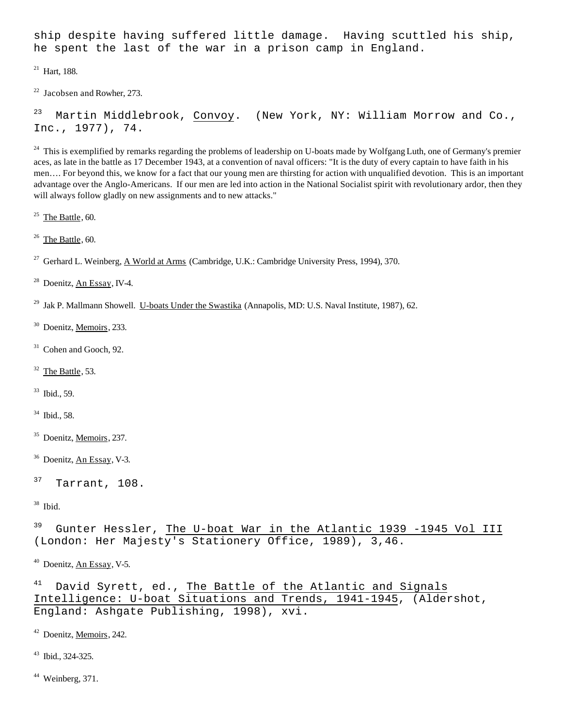ship despite having suffered little damage. Having scuttled his ship, he spent the last of the war in a prison camp in England.

 $21$  Hart, 188.

 $22$  Jacobsen and Rowher, 273.

<sup>23</sup> Martin Middlebrook, Convoy. (New York, NY: William Morrow and Co., Inc., 1977), 74.

 $^{24}$  This is exemplified by remarks regarding the problems of leadership on U-boats made by Wolfgang Luth, one of Germany's premier aces, as late in the battle as 17 December 1943, at a convention of naval officers: "It is the duty of every captain to have faith in his men…. For beyond this, we know for a fact that our young men are thirsting for action with unqualified devotion. This is an important advantage over the Anglo-Americans. If our men are led into action in the National Socialist spirit with revolutionary ardor, then they will always follow gladly on new assignments and to new attacks."

25 The Battle, 60.

 $26$  The Battle, 60.

<sup>27</sup> Gerhard L. Weinberg, A World at Arms (Cambridge, U.K.: Cambridge University Press, 1994), 370.

 $^{28}$  Doenitz, An Essay, IV-4.

<sup>29</sup> Jak P. Mallmann Showell. U-boats Under the Swastika (Annapolis, MD: U.S. Naval Institute, 1987), 62.

<sup>30</sup> Doenitz, Memoirs, 233.

 $31$  Cohen and Gooch, 92.

 $32$  The Battle, 53.

<sup>33</sup> Ibid., 59.

<sup>34</sup> Ibid., 58.

<sup>35</sup> Doenitz, <u>Memoirs,</u> 237.

<sup>36</sup> Doenitz, An Essay, V-3.

 $37$  Tarrant, 108.

<sup>38</sup> Ibid.

<sup>39</sup> Gunter Hessler, The U-boat War in the Atlantic 1939 -1945 Vol III (London: Her Majesty's Stationery Office, 1989), 3,46.

<sup>40</sup> Doenitz, An Essay, V-5.

<sup>41</sup> David Syrett, ed., The Battle of the Atlantic and Signals Intelligence: U-boat Situations and Trends, 1941-1945, (Aldershot, England: Ashgate Publishing, 1998), xvi.

<sup>42</sup> Doenitz, <u>Memoirs,</u> 242.

<sup>43</sup> Ibid., 324-325.

 $44$  Weinberg, 371.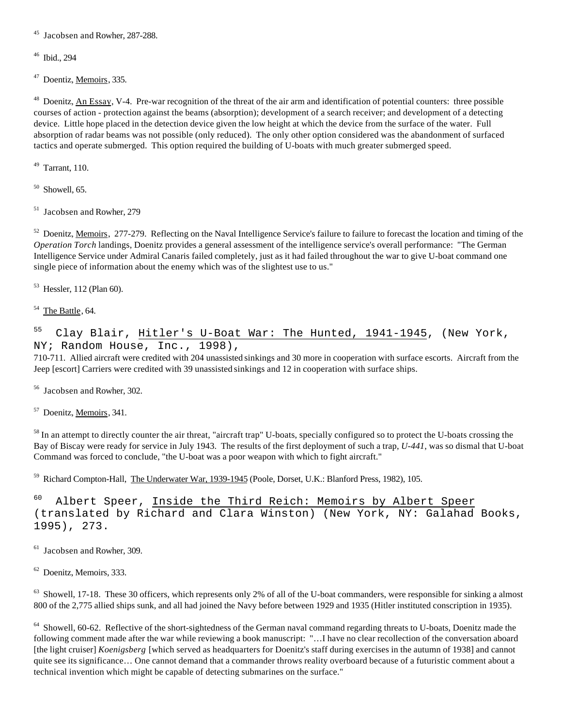<sup>45</sup> Jacobsen and Rowher, 287-288.

<sup>46</sup> Ibid., 294

<sup>47</sup> Doentiz, <u>Memoirs,</u> 335.

<sup>48</sup> Doenitz, An Essay, V-4. Pre-war recognition of the threat of the air arm and identification of potential counters: three possible courses of action - protection against the beams (absorption); development of a search receiver; and development of a detecting device. Little hope placed in the detection device given the low height at which the device from the surface of the water. Full absorption of radar beams was not possible (only reduced). The only other option considered was the abandonment of surfaced tactics and operate submerged. This option required the building of U-boats with much greater submerged speed.

 $49$  Tarrant, 110.

 $50$  Showell, 65.

<sup>51</sup> Jacobsen and Rowher, 279

<sup>52</sup> Doenitz, <u>Memoirs</u>, 277-279. Reflecting on the Naval Intelligence Service's failure to failure to forecast the location and timing of the *Operation Torch* landings, Doenitz provides a general assessment of the intelligence service's overall performance: "The German Intelligence Service under Admiral Canaris failed completely, just as it had failed throughout the war to give U-boat command one single piece of information about the enemy which was of the slightest use to us."

53 Hessler, 112 (Plan 60).

 $54$  The Battle, 64.

<sup>55</sup> Clay Blair, Hitler's U-Boat War: The Hunted, 1941-1945, (New York, NY; Random House, Inc., 1998),

710-711. Allied aircraft were credited with 204 unassisted sinkings and 30 more in cooperation with surface escorts. Aircraft from the Jeep [escort] Carriers were credited with 39 unassisted sinkings and 12 in cooperation with surface ships.

<sup>56</sup> Jacobsen and Rowher, 302.

<sup>57</sup> Doenitz, <u>Memoirs,</u> 341.

<sup>58</sup> In an attempt to directly counter the air threat, "aircraft trap" U-boats, specially configured so to protect the U-boats crossing the Bay of Biscay were ready for service in July 1943. The results of the first deployment of such a trap, *U-441*, was so dismal that U-boat Command was forced to conclude, "the U-boat was a poor weapon with which to fight aircraft."

<sup>59</sup> Richard Compton-Hall, The Underwater War, 1939-1945 (Poole, Dorset, U.K.: Blanford Press, 1982), 105.

<sup>60</sup> Albert Speer, Inside the Third Reich: Memoirs by Albert Speer (translated by Richard and Clara Winston) (New York, NY: Galahad Books, 1995), 273.

<sup>61</sup> Jacobsen and Rowher, 309.

62 Doenitz, Memoirs, 333.

 $63$  Showell, 17-18. These 30 officers, which represents only 2% of all of the U-boat commanders, were responsible for sinking a almost 800 of the 2,775 allied ships sunk, and all had joined the Navy before between 1929 and 1935 (Hitler instituted conscription in 1935).

<sup>64</sup> Showell, 60-62. Reflective of the short-sightedness of the German naval command regarding threats to U-boats, Doenitz made the following comment made after the war while reviewing a book manuscript: "…I have no clear recollection of the conversation aboard [the light cruiser] *Koenigsberg* [which served as headquarters for Doenitz's staff during exercises in the autumn of 1938] and cannot quite see its significance… One cannot demand that a commander throws reality overboard because of a futuristic comment about a technical invention which might be capable of detecting submarines on the surface."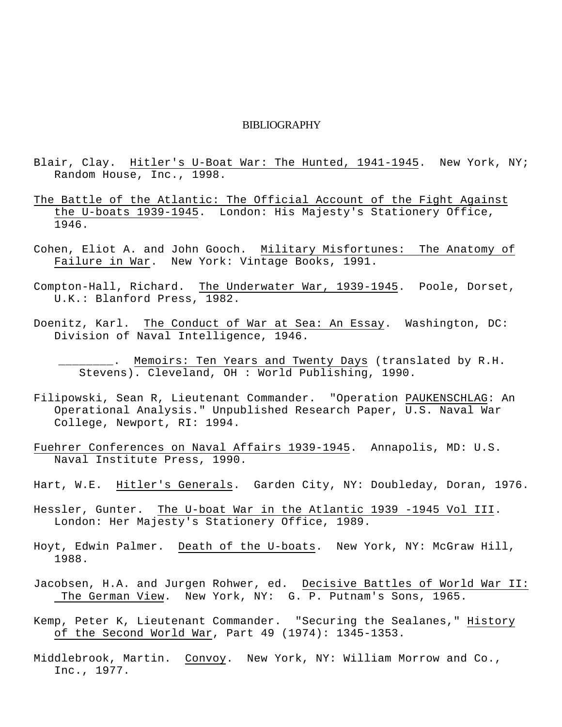#### BIBLIOGRAPHY

- Blair, Clay. Hitler's U-Boat War: The Hunted, 1941-1945. New York, NY; Random House, Inc., 1998.
- The Battle of the Atlantic: The Official Account of the Fight Against the U-boats 1939-1945. London: His Majesty's Stationery Office, 1946.
- Cohen, Eliot A. and John Gooch. Military Misfortunes: The Anatomy of Failure in War. New York: Vintage Books, 1991.
- Compton-Hall, Richard. The Underwater War, 1939-1945. Poole, Dorset, U.K.: Blanford Press, 1982.
- Doenitz, Karl. The Conduct of War at Sea: An Essay. Washington, DC: Division of Naval Intelligence, 1946.
	- $_{--}.$  Memoirs: Ten Years and Twenty Days (translated by R.H. Stevens). Cleveland, OH : World Publishing, 1990.
- Filipowski, Sean R, Lieutenant Commander. "Operation PAUKENSCHLAG: An Operational Analysis." Unpublished Research Paper, U.S. Naval War College, Newport, RI: 1994.
- Fuehrer Conferences on Naval Affairs 1939-1945. Annapolis, MD: U.S. Naval Institute Press, 1990.
- Hart, W.E. Hitler's Generals. Garden City, NY: Doubleday, Doran, 1976.
- Hessler, Gunter. The U-boat War in the Atlantic 1939 -1945 Vol III. London: Her Majesty's Stationery Office, 1989.
- Hoyt, Edwin Palmer. Death of the U-boats. New York, NY: McGraw Hill, 1988.
- Jacobsen, H.A. and Jurgen Rohwer, ed. Decisive Battles of World War II: The German View. New York, NY: G. P. Putnam's Sons, 1965.
- Kemp, Peter K, Lieutenant Commander. "Securing the Sealanes," History of the Second World War, Part 49 (1974): 1345-1353.
- Middlebrook, Martin. Convoy. New York, NY: William Morrow and Co., Inc., 1977.